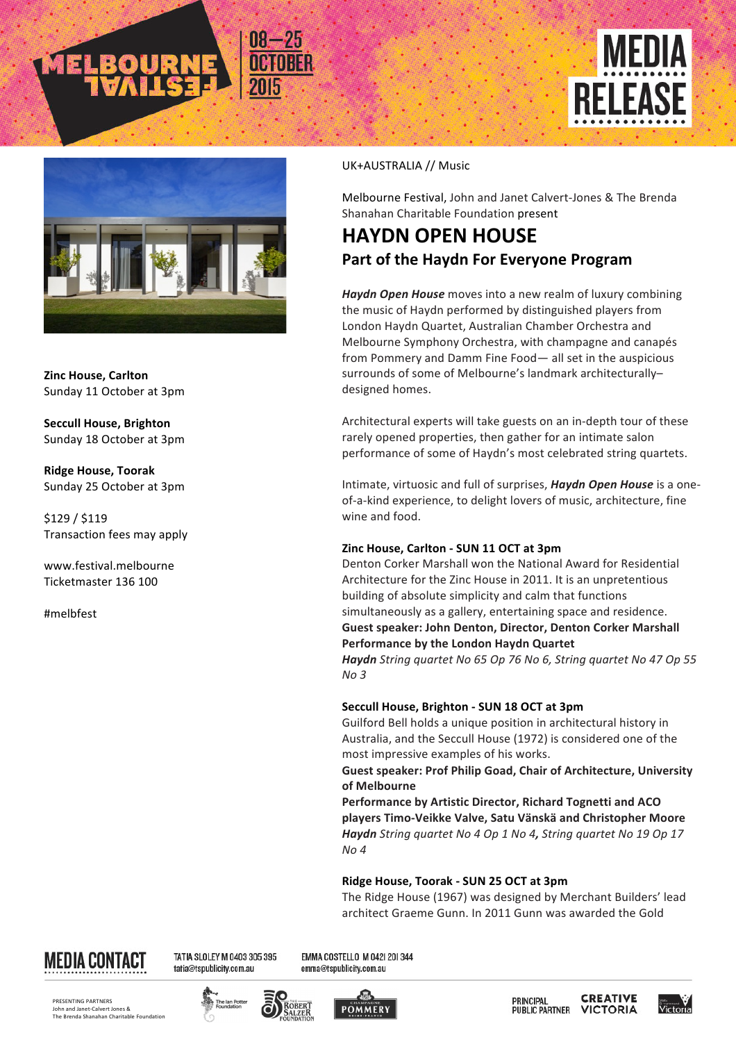



**Zinc House, Carlton** Sunday 11 October at 3pm

**Seccull House, Brighton** Sunday 18 October at 3pm

**Ridge House, Toorak** Sunday 25 October at 3pm

\$129 / \$119 Transaction fees may apply

www.festival.melbourne Ticketmaster 136 100

#melbfest

#### UK+AUSTRALIA // Music

Melbourne Festival, John and Janet Calvert-Jones & The Brenda Shanahan Charitable Foundation present

# **HAYDN OPEN HOUSE** Part of the Haydn For Everyone Program

**Haydn Open House** moves into a new realm of luxury combining the music of Haydn performed by distinguished players from London Haydn Quartet, Australian Chamber Orchestra and Melbourne Symphony Orchestra, with champagne and canapés from Pommery and Damm Fine Food— all set in the auspicious surrounds of some of Melbourne's landmark architecturallydesigned homes.

Architectural experts will take guests on an in-depth tour of these rarely opened properties, then gather for an intimate salon performance of some of Haydn's most celebrated string quartets.

Intimate, virtuosic and full of surprises, *Haydn Open House* is a oneof-a-kind experience, to delight lovers of music, architecture, fine wine and food.

#### **Zinc House, Carlton - SUN 11 OCT at 3pm**

Denton Corker Marshall won the National Award for Residential Architecture for the Zinc House in 2011. It is an unpretentious building of absolute simplicity and calm that functions simultaneously as a gallery, entertaining space and residence. **Guest speaker: John Denton, Director, Denton Corker Marshall Performance by the London Haydn Quartet** *Haydn String quartet No 65 Op 76 No 6, String quartet No 47 Op 55 No 3*

### **Seccull House, Brighton - SUN 18 OCT at 3pm**

Guilford Bell holds a unique position in architectural history in Australia, and the Seccull House (1972) is considered one of the most impressive examples of his works.

**Guest speaker: Prof Philip Goad, Chair of Architecture, University of Melbourne**

Performance by Artistic Director, Richard Tognetti and ACO **players Timo-Veikke Valve, Satu Vänskä and Christopher Moore** *Haydn String quartet No 4 Op 1 No 4, String quartet No 19 Op 17 No 4*

### **Ridge House, Toorak - SUN 25 OCT at 3pm**

The Ridge House (1967) was designed by Merchant Builders' lead architect Graeme Gunn. In 2011 Gunn was awarded the Gold



TATIA SLOLEY M 0403 305 395 tatia@tspublicity.com.au

EMMA COSTELLO M 0421 201344 emma@tspublicity.com.au